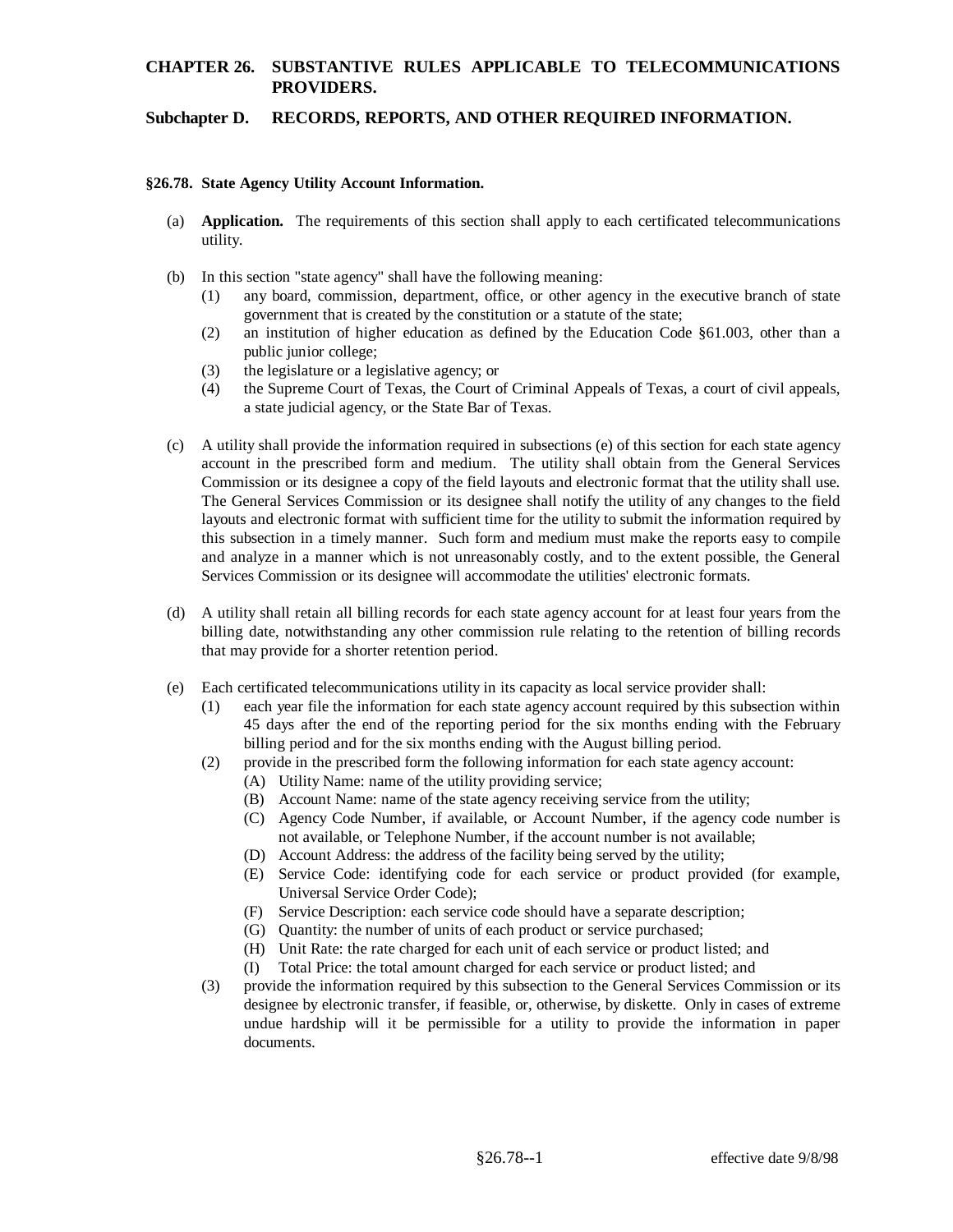# **CHAPTER 26. SUBSTANTIVE RULES APPLICABLE TO TELECOMMUNICATIONS PROVIDERS.**

### **Subchapter D. RECORDS, REPORTS, AND OTHER REQUIRED INFORMATION.**

#### **§26.78. State Agency Utility Account Information.**

- (a) **Application.** The requirements of this section shall apply to each certificated telecommunications utility.
- (b) In this section "state agency" shall have the following meaning:
	- (1) any board, commission, department, office, or other agency in the executive branch of state government that is created by the constitution or a statute of the state;
	- (2) an institution of higher education as defined by the Education Code §61.003, other than a public junior college;
	- (3) the legislature or a legislative agency; or
	- (4) the Supreme Court of Texas, the Court of Criminal Appeals of Texas, a court of civil appeals, a state judicial agency, or the State Bar of Texas.
- (c) A utility shall provide the information required in subsections (e) of this section for each state agency account in the prescribed form and medium. The utility shall obtain from the General Services Commission or its designee a copy of the field layouts and electronic format that the utility shall use. The General Services Commission or its designee shall notify the utility of any changes to the field layouts and electronic format with sufficient time for the utility to submit the information required by this subsection in a timely manner. Such form and medium must make the reports easy to compile and analyze in a manner which is not unreasonably costly, and to the extent possible, the General Services Commission or its designee will accommodate the utilities' electronic formats.
- (d) A utility shall retain all billing records for each state agency account for at least four years from the billing date, notwithstanding any other commission rule relating to the retention of billing records that may provide for a shorter retention period.
- (e) Each certificated telecommunications utility in its capacity as local service provider shall:
	- (1) each year file the information for each state agency account required by this subsection within 45 days after the end of the reporting period for the six months ending with the February billing period and for the six months ending with the August billing period.
	- (2) provide in the prescribed form the following information for each state agency account:
		- (A) Utility Name: name of the utility providing service;
		- (B) Account Name: name of the state agency receiving service from the utility;
		- (C) Agency Code Number, if available, or Account Number, if the agency code number is not available, or Telephone Number, if the account number is not available;
		- (D) Account Address: the address of the facility being served by the utility;
		- (E) Service Code: identifying code for each service or product provided (for example, Universal Service Order Code);
		- (F) Service Description: each service code should have a separate description;
		- (G) Quantity: the number of units of each product or service purchased;
		- (H) Unit Rate: the rate charged for each unit of each service or product listed; and
		- (I) Total Price: the total amount charged for each service or product listed; and
	- (3) provide the information required by this subsection to the General Services Commission or its designee by electronic transfer, if feasible, or, otherwise, by diskette. Only in cases of extreme undue hardship will it be permissible for a utility to provide the information in paper documents.